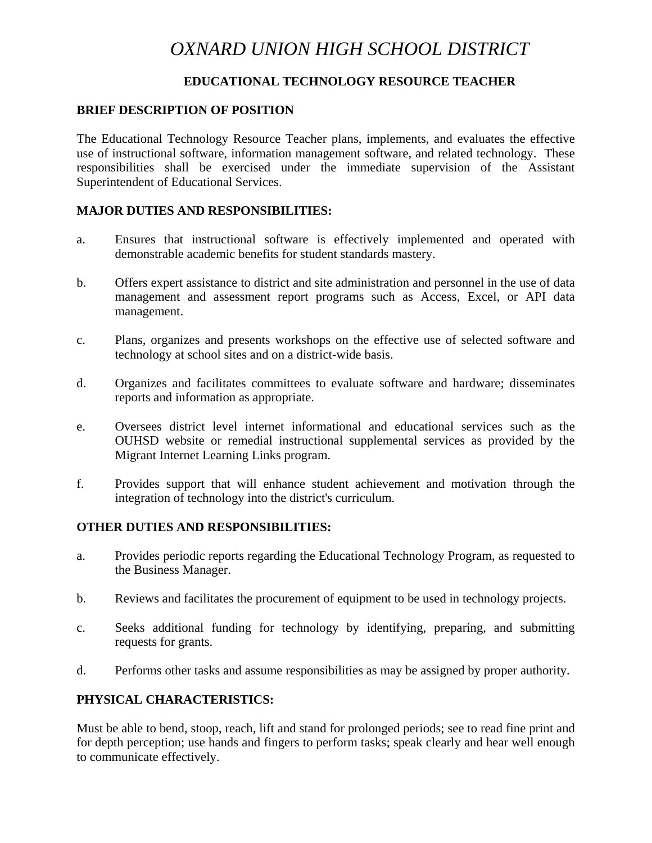# *OXNARD UNION HIGH SCHOOL DISTRICT*

## **EDUCATIONAL TECHNOLOGY RESOURCE TEACHER**

#### **BRIEF DESCRIPTION OF POSITION**

The Educational Technology Resource Teacher plans, implements, and evaluates the effective use of instructional software, information management software, and related technology. These responsibilities shall be exercised under the immediate supervision of the Assistant Superintendent of Educational Services.

#### **MAJOR DUTIES AND RESPONSIBILITIES:**

- a. Ensures that instructional software is effectively implemented and operated with demonstrable academic benefits for student standards mastery.
- b. Offers expert assistance to district and site administration and personnel in the use of data management and assessment report programs such as Access, Excel, or API data management.
- c. Plans, organizes and presents workshops on the effective use of selected software and technology at school sites and on a district-wide basis.
- d. Organizes and facilitates committees to evaluate software and hardware; disseminates reports and information as appropriate.
- e. Oversees district level internet informational and educational services such as the OUHSD website or remedial instructional supplemental services as provided by the Migrant Internet Learning Links program.
- f. Provides support that will enhance student achievement and motivation through the integration of technology into the district's curriculum.

#### **OTHER DUTIES AND RESPONSIBILITIES:**

- a. Provides periodic reports regarding the Educational Technology Program, as requested to the Business Manager.
- b. Reviews and facilitates the procurement of equipment to be used in technology projects.
- c. Seeks additional funding for technology by identifying, preparing, and submitting requests for grants.
- d. Performs other tasks and assume responsibilities as may be assigned by proper authority.

## **PHYSICAL CHARACTERISTICS:**

Must be able to bend, stoop, reach, lift and stand for prolonged periods; see to read fine print and for depth perception; use hands and fingers to perform tasks; speak clearly and hear well enough to communicate effectively.